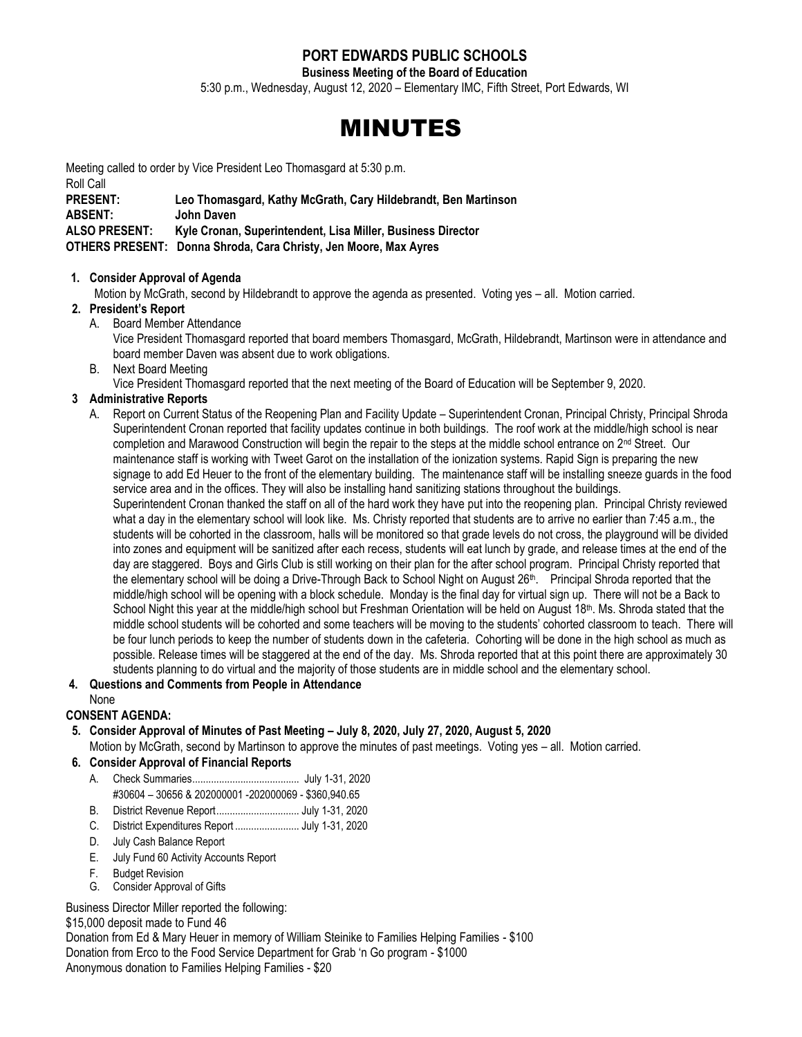# **PORT EDWARDS PUBLIC SCHOOLS**

**Business Meeting of the Board of Education**

5:30 p.m., Wednesday, August 12, 2020 – Elementary IMC, Fifth Street, Port Edwards, WI

# MINUTES

Meeting called to order by Vice President Leo Thomasgard at 5:30 p.m.

Roll Call **PRESENT: Leo Thomasgard, Kathy McGrath, Cary Hildebrandt, Ben Martinson ABSENT: John Daven ALSO PRESENT: Kyle Cronan, Superintendent, Lisa Miller, Business Director OTHERS PRESENT: Donna Shroda, Cara Christy, Jen Moore, Max Ayres**

#### **1. Consider Approval of Agenda**

Motion by McGrath, second by Hildebrandt to approve the agenda as presented. Voting yes – all. Motion carried.

# **2. President's Report**

A. Board Member Attendance

Vice President Thomasgard reported that board members Thomasgard, McGrath, Hildebrandt, Martinson were in attendance and board member Daven was absent due to work obligations.

B. Next Board Meeting

Vice President Thomasgard reported that the next meeting of the Board of Education will be September 9, 2020.

# **3 Administrative Reports**

A. Report on Current Status of the Reopening Plan and Facility Update – Superintendent Cronan, Principal Christy, Principal Shroda Superintendent Cronan reported that facility updates continue in both buildings. The roof work at the middle/high school is near completion and Marawood Construction will begin the repair to the steps at the middle school entrance on  $2<sup>nd</sup>$  Street. Our maintenance staff is working with Tweet Garot on the installation of the ionization systems. Rapid Sign is preparing the new signage to add Ed Heuer to the front of the elementary building. The maintenance staff will be installing sneeze guards in the food service area and in the offices. They will also be installing hand sanitizing stations throughout the buildings. Superintendent Cronan thanked the staff on all of the hard work they have put into the reopening plan. Principal Christy reviewed what a day in the elementary school will look like. Ms. Christy reported that students are to arrive no earlier than 7:45 a.m., the students will be cohorted in the classroom, halls will be monitored so that grade levels do not cross, the playground will be divided into zones and equipment will be sanitized after each recess, students will eat lunch by grade, and release times at the end of the day are staggered. Boys and Girls Club is still working on their plan for the after school program. Principal Christy reported that the elementary school will be doing a Drive-Through Back to School Night on August 26<sup>th</sup>. Principal Shroda reported that the middle/high school will be opening with a block schedule. Monday is the final day for virtual sign up. There will not be a Back to School Night this year at the middle/high school but Freshman Orientation will be held on August  $18<sup>th</sup>$ . Ms. Shroda stated that the middle school students will be cohorted and some teachers will be moving to the students' cohorted classroom to teach. There will be four lunch periods to keep the number of students down in the cafeteria. Cohorting will be done in the high school as much as possible. Release times will be staggered at the end of the day. Ms. Shroda reported that at this point there are approximately 30 students planning to do virtual and the majority of those students are in middle school and the elementary school.

# **4. Questions and Comments from People in Attendance**

None

# **CONSENT AGENDA:**

**5. Consider Approval of Minutes of Past Meeting – July 8, 2020, July 27, 2020, August 5, 2020** Motion by McGrath, second by Martinson to approve the minutes of past meetings. Voting yes – all. Motion carried.

# **6. Consider Approval of Financial Reports**

- A. Check Summaries........................................ July 1-31, 2020 #30604 – 30656 & 202000001 -202000069 - \$360,940.65
- B. District Revenue Report............................... July 1-31, 2020
- C. District Expenditures Report ........................ July 1-31, 2020
- D. July Cash Balance Report
- E. July Fund 60 Activity Accounts Report
- F. Budget Revision
- G. Consider Approval of Gifts

Business Director Miller reported the following:

#### \$15,000 deposit made to Fund 46

Donation from Ed & Mary Heuer in memory of William Steinike to Families Helping Families - \$100 Donation from Erco to the Food Service Department for Grab 'n Go program - \$1000 Anonymous donation to Families Helping Families - \$20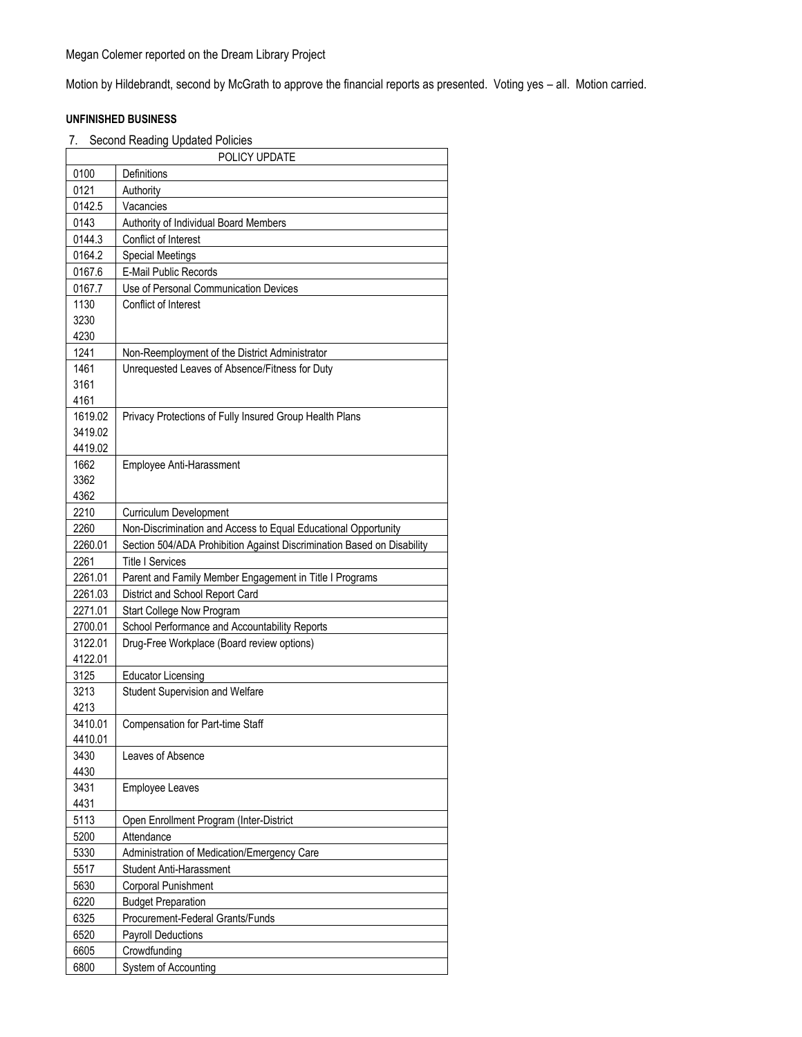Motion by Hildebrandt, second by McGrath to approve the financial reports as presented. Voting yes – all. Motion carried.

#### **UNFINISHED BUSINESS**

7. Second Reading Updated Policies

|              | POLICY UPDATE                                                                                    |  |
|--------------|--------------------------------------------------------------------------------------------------|--|
| 0100<br>0121 | Definitions                                                                                      |  |
| 0142.5       | Authority<br>Vacancies                                                                           |  |
|              |                                                                                                  |  |
| 0143         | Authority of Individual Board Members                                                            |  |
| 0144.3       | Conflict of Interest                                                                             |  |
| 0164.2       | <b>Special Meetings</b>                                                                          |  |
| 0167.6       | E-Mail Public Records                                                                            |  |
| 0167.7       | Use of Personal Communication Devices                                                            |  |
| 1130<br>3230 | Conflict of Interest                                                                             |  |
| 4230         |                                                                                                  |  |
| 1241         |                                                                                                  |  |
| 1461         | Non-Reemployment of the District Administrator<br>Unrequested Leaves of Absence/Fitness for Duty |  |
| 3161         |                                                                                                  |  |
| 4161         |                                                                                                  |  |
| 1619.02      | Privacy Protections of Fully Insured Group Health Plans                                          |  |
| 3419.02      |                                                                                                  |  |
| 4419.02      |                                                                                                  |  |
| 1662         | Employee Anti-Harassment                                                                         |  |
| 3362         |                                                                                                  |  |
| 4362         |                                                                                                  |  |
| 2210         | <b>Curriculum Development</b>                                                                    |  |
| 2260         | Non-Discrimination and Access to Equal Educational Opportunity                                   |  |
| 2260.01      | Section 504/ADA Prohibition Against Discrimination Based on Disability                           |  |
| 2261         | <b>Title I Services</b>                                                                          |  |
| 2261.01      | Parent and Family Member Engagement in Title I Programs                                          |  |
| 2261.03      | District and School Report Card                                                                  |  |
| 2271.01      | Start College Now Program                                                                        |  |
| 2700.01      | School Performance and Accountability Reports                                                    |  |
| 3122.01      | Drug-Free Workplace (Board review options)                                                       |  |
| 4122.01      |                                                                                                  |  |
| 3125         | <b>Educator Licensing</b>                                                                        |  |
| 3213         | <b>Student Supervision and Welfare</b>                                                           |  |
| 4213         |                                                                                                  |  |
| 3410.01      | Compensation for Part-time Staff                                                                 |  |
| 4410.01      |                                                                                                  |  |
| 3430         | Leaves of Absence                                                                                |  |
| 4430         |                                                                                                  |  |
| 3431         | <b>Employee Leaves</b>                                                                           |  |
| 4431         |                                                                                                  |  |
| 5113         | Open Enrollment Program (Inter-District                                                          |  |
| 5200         | Attendance                                                                                       |  |
| 5330         | Administration of Medication/Emergency Care                                                      |  |
| 5517         | Student Anti-Harassment                                                                          |  |
| 5630         | <b>Corporal Punishment</b>                                                                       |  |
| 6220         | <b>Budget Preparation</b>                                                                        |  |
| 6325         | Procurement-Federal Grants/Funds                                                                 |  |
| 6520         | Payroll Deductions                                                                               |  |
| 6605         | Crowdfunding                                                                                     |  |
| 6800         | System of Accounting                                                                             |  |